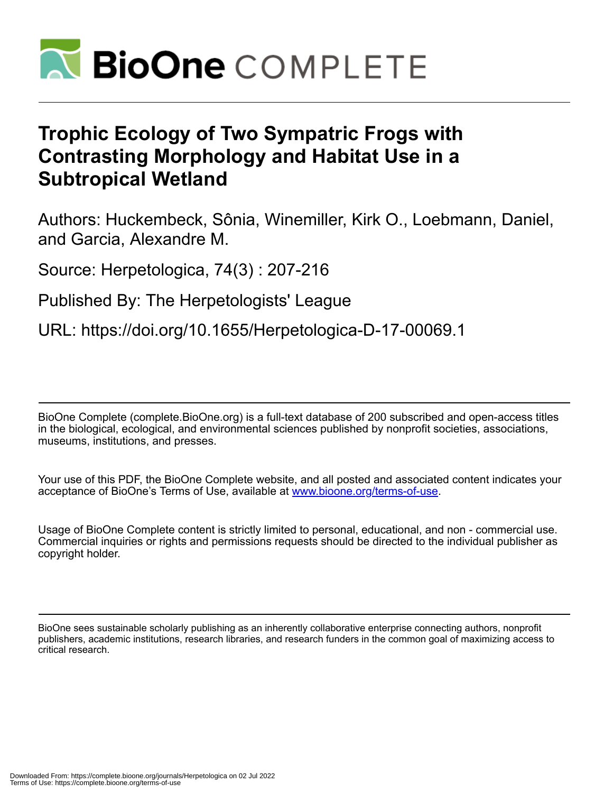

# **Trophic Ecology of Two Sympatric Frogs with Contrasting Morphology and Habitat Use in a Subtropical Wetland**

Authors: Huckembeck, Sônia, Winemiller, Kirk O., Loebmann, Daniel, and Garcia, Alexandre M.

Source: Herpetologica, 74(3) : 207-216

Published By: The Herpetologists' League

URL: https://doi.org/10.1655/Herpetologica-D-17-00069.1

BioOne Complete (complete.BioOne.org) is a full-text database of 200 subscribed and open-access titles in the biological, ecological, and environmental sciences published by nonprofit societies, associations, museums, institutions, and presses.

Your use of this PDF, the BioOne Complete website, and all posted and associated content indicates your acceptance of BioOne's Terms of Use, available at www.bioone.org/terms-of-use.

Usage of BioOne Complete content is strictly limited to personal, educational, and non - commercial use. Commercial inquiries or rights and permissions requests should be directed to the individual publisher as copyright holder.

BioOne sees sustainable scholarly publishing as an inherently collaborative enterprise connecting authors, nonprofit publishers, academic institutions, research libraries, and research funders in the common goal of maximizing access to critical research.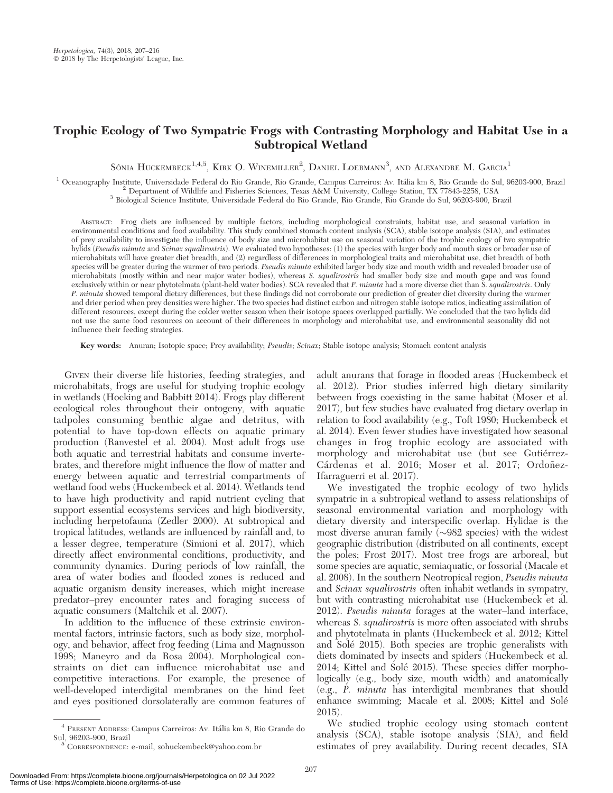# Trophic Ecology of Two Sympatric Frogs with Contrasting Morphology and Habitat Use in a Subtropical Wetland

Sônia Huckembeck<sup>1,4,5</sup>, Kirk O. Winemiller<sup>2</sup>, Daniel Loebmann<sup>3</sup>, and Alexandre M. Garcia<sup>1</sup>

 $^1$  Oceanography Institute, Universidade Federal do Rio Grande, Rio Grande, Campus Carreiros: Av. Itália km 8, Rio Grande do Sul, 96203-900, Brazil $^2$  Department of Wildlife and Fisheries Sciences, Texas A&M University,

ABSTRACT: Frog diets are influenced by multiple factors, including morphological constraints, habitat use, and seasonal variation in environmental conditions and food availability. This study combined stomach content analysis (SCA), stable isotope analysis (SIA), and estimates of prey availability to investigate the influence of body size and microhabitat use on seasonal variation of the trophic ecology of two sympatric hylids (Pseudis minuta and Scinax squalirostris). We evaluated two hypotheses: (1) the species with larger body and mouth sizes or broader use of microhabitats will have greater diet breadth, and (2) regardless of differences in morphological traits and microhabitat use, diet breadth of both species will be greater during the warmer of two periods. Pseudis minuta exhibited larger body size and mouth width and revealed broader use of microhabitats (mostly within and near major water bodies), whereas S. squalirostris had smaller body size and mouth gape and was found exclusively within or near phytotelmata (plant-held water bodies). SCA revealed that P. minuta had a more diverse diet than S. squalirostris. Only P. minuta showed temporal dietary differences, but these findings did not corroborate our prediction of greater diet diversity during the warmer and drier period when prey densities were higher. The two species had distinct carbon and nitrogen stable isotope ratios, indicating assimilation of different resources, except during the colder wetter season when their isotope spaces overlapped partially. We concluded that the two hylids did not use the same food resources on account of their differences in morphology and microhabitat use, and environmental seasonality did not influence their feeding strategies.

Key words: Anuran; Isotopic space; Prey availability; Pseudis; Scinax; Stable isotope analysis; Stomach content analysis

GIVEN their diverse life histories, feeding strategies, and microhabitats, frogs are useful for studying trophic ecology in wetlands (Hocking and Babbitt 2014). Frogs play different ecological roles throughout their ontogeny, with aquatic tadpoles consuming benthic algae and detritus, with potential to have top-down effects on aquatic primary production (Ranvestel et al. 2004). Most adult frogs use both aquatic and terrestrial habitats and consume invertebrates, and therefore might influence the flow of matter and energy between aquatic and terrestrial compartments of wetland food webs (Huckembeck et al. 2014). Wetlands tend to have high productivity and rapid nutrient cycling that support essential ecosystems services and high biodiversity, including herpetofauna (Zedler 2000). At subtropical and tropical latitudes, wetlands are influenced by rainfall and, to a lesser degree, temperature (Simioni et al. 2017), which directly affect environmental conditions, productivity, and community dynamics. During periods of low rainfall, the area of water bodies and flooded zones is reduced and aquatic organism density increases, which might increase predator–prey encounter rates and foraging success of aquatic consumers (Maltchik et al. 2007).

In addition to the influence of these extrinsic environmental factors, intrinsic factors, such as body size, morphology, and behavior, affect frog feeding (Lima and Magnusson 1998; Maneyro and da Rosa 2004). Morphological constraints on diet can influence microhabitat use and competitive interactions. For example, the presence of well-developed interdigital membranes on the hind feet and eyes positioned dorsolaterally are common features of adult anurans that forage in flooded areas (Huckembeck et al. 2012). Prior studies inferred high dietary similarity between frogs coexisting in the same habitat (Moser et al. 2017), but few studies have evaluated frog dietary overlap in relation to food availability (e.g., Toft 1980; Huckembeck et al. 2014). Even fewer studies have investigated how seasonal changes in frog trophic ecology are associated with morphology and microhabitat use (but see Gutiérrez-Cárdenas et al. 2016; Moser et al. 2017; Ordoñez-Ifarraguerri et al. 2017).

We investigated the trophic ecology of two hylids sympatric in a subtropical wetland to assess relationships of seasonal environmental variation and morphology with dietary diversity and interspecific overlap. Hylidae is the most diverse anuran family  $(\sim 982$  species) with the widest geographic distribution (distributed on all continents, except the poles; Frost 2017). Most tree frogs are arboreal, but some species are aquatic, semiaquatic, or fossorial (Macale et al. 2008). In the southern Neotropical region, Pseudis minuta and Scinax squalirostris often inhabit wetlands in sympatry, but with contrasting microhabitat use (Huckembeck et al. 2012). Pseudis minuta forages at the water–land interface, whereas S. squalirostris is more often associated with shrubs and phytotelmata in plants (Huckembeck et al. 2012; Kittel and Solé 2015). Both species are trophic generalists with diets dominated by insects and spiders (Huckembeck et al. 2014; Kittel and Solé 2015). These species differ morphologically (e.g., body size, mouth width) and anatomically (e.g., P. minuta has interdigital membranes that should enhance swimming; Macale et al. 2008; Kittel and Solé 2015).

We studied trophic ecology using stomach content analysis (SCA), stable isotope analysis (SIA), and field estimates of prey availability. During recent decades, SIA

 $^4$  PRESENT ADDRESS: Campus Carreiros: Av. Itália km 8, Rio Grande do Sul, 96203-900, Brazil

CORRESPONDENCE: e-mail, sohuckembeck@yahoo.com.br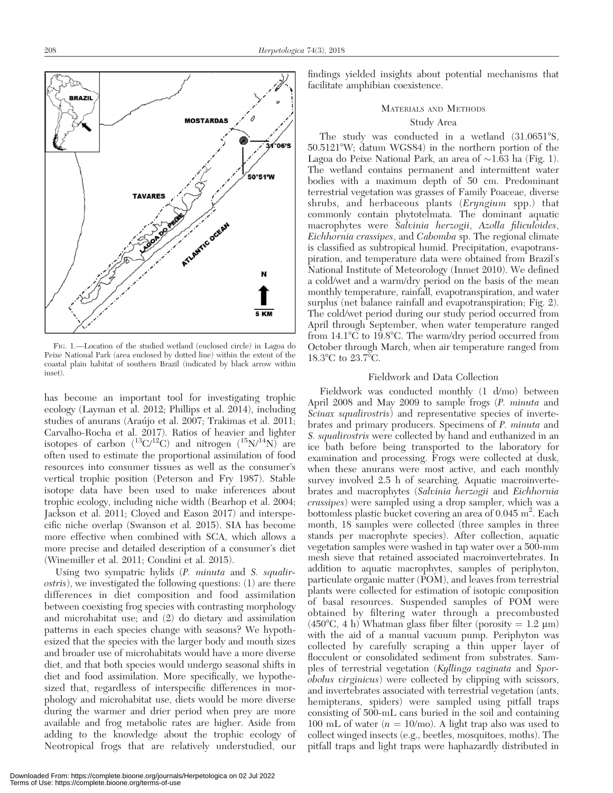

FIG. 1.—Location of the studied wetland (enclosed circle) in Lagoa do Peixe National Park (area enclosed by dotted line) within the extent of the coastal plain habitat of southern Brazil (indicated by black arrow within inset).

has become an important tool for investigating trophic ecology (Layman et al. 2012; Phillips et al. 2014), including studies of anurans (Araújo et al. 2007; Trakimas et al. 2011; Carvalho-Rocha et al. 2017). Ratios of heavier and lighter isotopes of carbon  $(^{13}C/^{12}C)$  and nitrogen  $(^{15}N/^{14}N)$  are often used to estimate the proportional assimilation of food resources into consumer tissues as well as the consumer's vertical trophic position (Peterson and Fry 1987). Stable isotope data have been used to make inferences about trophic ecology, including niche width (Bearhop et al. 2004; Jackson et al. 2011; Cloyed and Eason 2017) and interspecific niche overlap (Swanson et al. 2015). SIA has become more effective when combined with SCA, which allows a more precise and detailed description of a consumer's diet (Winemiller et al. 2011; Condini et al. 2015).

Using two sympatric hylids (P. minuta and S. squalirostris), we investigated the following questions: (1) are there differences in diet composition and food assimilation between coexisting frog species with contrasting morphology and microhabitat use; and (2) do dietary and assimilation patterns in each species change with seasons? We hypothesized that the species with the larger body and mouth sizes and broader use of microhabitats would have a more diverse diet, and that both species would undergo seasonal shifts in diet and food assimilation. More specifically, we hypothesized that, regardless of interspecific differences in morphology and microhabitat use, diets would be more diverse during the warmer and drier period when prey are more available and frog metabolic rates are higher. Aside from adding to the knowledge about the trophic ecology of Neotropical frogs that are relatively understudied, our

findings yielded insights about potential mechanisms that facilitate amphibian coexistence.

#### MATERIALS AND METHODS

#### Study Area

The study was conducted in a wetland  $(31.0651^{\circ}S,$ 50.51218W; datum WGS84) in the northern portion of the Lagoa do Peixe National Park, an area of  $\sim$ 1.63 ha (Fig. 1). The wetland contains permanent and intermittent water bodies with a maximum depth of 50 cm. Predominant terrestrial vegetation was grasses of Family Poaceae, diverse shrubs, and herbaceous plants (*Eryngium* spp.) that commonly contain phytotelmata. The dominant aquatic macrophytes were Salvinia herzogii, Azolla filiculoides, Eichhornia crassipes, and Cabomba sp. The regional climate is classified as subtropical humid. Precipitation, evapotranspiration, and temperature data were obtained from Brazil's National Institute of Meteorology (Inmet 2010). We defined a cold/wet and a warm/dry period on the basis of the mean monthly temperature, rainfall, evapotranspiration, and water surplus (net balance rainfall and evapotranspiration; Fig. 2). The cold/wet period during our study period occurred from April through September, when water temperature ranged from  $14.1^{\circ}$ C to  $19.8^{\circ}$ C. The warm/dry period occurred from October through March, when air temperature ranged from  $18.3^{\circ}$ C to  $23.7^{\circ}$ C.

### Fieldwork and Data Collection

Fieldwork was conducted monthly (1 d/mo) between April 2008 and May 2009 to sample frogs (P. minuta and Scinax squalirostris) and representative species of invertebrates and primary producers. Specimens of P. minuta and S. squalirostris were collected by hand and euthanized in an ice bath before being transported to the laboratory for examination and processing. Frogs were collected at dusk, when these anurans were most active, and each monthly survey involved 2.5 h of searching. Aquatic macroinvertebrates and macrophytes (Salvinia herzogii and Eichhornia crassipes) were sampled using a drop sampler, which was a bottomless plastic bucket covering an area of 0.045 m<sup>2</sup>. Each month, 18 samples were collected (three samples in three stands per macrophyte species). After collection, aquatic vegetation samples were washed in tap water over a 500-mm mesh sieve that retained associated macroinvertebrates. In addition to aquatic macrophytes, samples of periphyton, particulate organic matter (POM), and leaves from terrestrial plants were collected for estimation of isotopic composition of basal resources. Suspended samples of POM were obtained by filtering water through a precombusted  $(450^{\circ}$ C, 4 h) Whatman glass fiber filter (porosity = 1.2 µm) with the aid of a manual vacuum pump. Periphyton was collected by carefully scraping a thin upper layer of flocculent or consolidated sediment from substrates. Samples of terrestrial vegetation (Kyllinga vaginata and Sporobolus virginicus) were collected by clipping with scissors, and invertebrates associated with terrestrial vegetation (ants, hemipterans, spiders) were sampled using pitfall traps consisting of 500-mL cans buried in the soil and containing 100 mL of water  $(n = 10 \text{/mo})$ . A light trap also was used to collect winged insects (e.g., beetles, mosquitoes, moths). The pitfall traps and light traps were haphazardly distributed in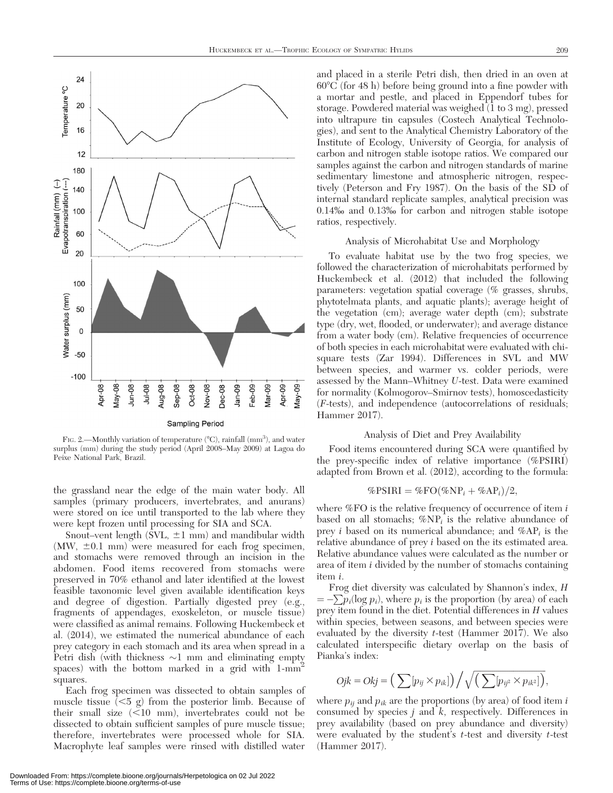

FIG. 2.—Monthly variation of temperature (°C), rainfall (mm<sup>3</sup>), and water surplus (mm) during the study period (April 2008–May 2009) at Lagoa do Peixe National Park, Brazil.

the grassland near the edge of the main water body. All samples (primary producers, invertebrates, and anurans) were stored on ice until transported to the lab where they were kept frozen until processing for SIA and SCA.

Snout–vent length (SVL,  $\pm 1$  mm) and mandibular width  $(MW, \pm 0.1 \text{ mm})$  were measured for each frog specimen, and stomachs were removed through an incision in the abdomen. Food items recovered from stomachs were preserved in 70% ethanol and later identified at the lowest feasible taxonomic level given available identification keys and degree of digestion. Partially digested prey (e.g., fragments of appendages, exoskeleton, or muscle tissue) were classified as animal remains. Following Huckembeck et al. (2014), we estimated the numerical abundance of each prey category in each stomach and its area when spread in a Petri dish (with thickness  $\sim$ 1 mm and eliminating empty spaces) with the bottom marked in a grid with  $1-mm<sup>2</sup>$ squares.

Each frog specimen was dissected to obtain samples of muscle tissue  $\langle$  5 g) from the posterior limb. Because of their small size  $(<10$  mm), invertebrates could not be dissected to obtain sufficient samples of pure muscle tissue; therefore, invertebrates were processed whole for SIA. Macrophyte leaf samples were rinsed with distilled water and placed in a sterile Petri dish, then dried in an oven at 608C (for 48 h) before being ground into a fine powder with a mortar and pestle, and placed in Eppendorf tubes for storage. Powdered material was weighed (1 to 3 mg), pressed into ultrapure tin capsules (Costech Analytical Technologies), and sent to the Analytical Chemistry Laboratory of the Institute of Ecology, University of Georgia, for analysis of carbon and nitrogen stable isotope ratios. We compared our samples against the carbon and nitrogen standards of marine sedimentary limestone and atmospheric nitrogen, respectively (Peterson and Fry 1987). On the basis of the SD of internal standard replicate samples, analytical precision was  $0.14\%$  and  $0.13\%$  for carbon and nitrogen stable isotope ratios, respectively.

#### Analysis of Microhabitat Use and Morphology

To evaluate habitat use by the two frog species, we followed the characterization of microhabitats performed by Huckembeck et al. (2012) that included the following parameters: vegetation spatial coverage (% grasses, shrubs, phytotelmata plants, and aquatic plants); average height of the vegetation (cm); average water depth (cm); substrate type (dry, wet, flooded, or underwater); and average distance from a water body (cm). Relative frequencies of occurrence of both species in each microhabitat were evaluated with chisquare tests (Zar 1994). Differences in SVL and MW between species, and warmer vs. colder periods, were assessed by the Mann–Whitney U-test. Data were examined for normality (Kolmogorov–Smirnov tests), homoscedasticity (F-tests), and independence (autocorrelations of residuals; Hammer 2017).

#### Analysis of Diet and Prey Availability

Food items encountered during SCA were quantified by the prey-specific index of relative importance (%PSIRI) adapted from Brown et al. (2012), according to the formula:

$$
\%\mathrm{PSIRI} = \%\mathrm{FO}(\%\mathrm{NP}_i + \%\mathrm{AP}_i)/2,
$$

where  $\%$  FO is the relative frequency of occurrence of item i based on all stomachs;  $\mathcal{W}(\mathbf{N})$  is the relative abundance of prey *i* based on its numerical abundance; and  $\%AP_i$  is the relative abundance of prey i based on the its estimated area. Relative abundance values were calculated as the number or area of item i divided by the number of stomachs containing item i.

Frog diet diversity was calculated by Shannon's index, H  $= -\sum p_i(\log p_i)$ , where  $p_i$  is the proportion (by area) of each prey item found in the diet. Potential differences in H values within species, between seasons, and between species were evaluated by the diversity t-test (Hammer 2017). We also calculated interspecific dietary overlap on the basis of Pianka's index:

$$
Ojk = Okj = \left(\sum [p_{ij} \times p_{ik}]\right) / \sqrt{\left(\sum [p_{ij^2} \times p_{ik^2}]\right)},
$$

where  $p_{ij}$  and  $p_{ik}$  are the proportions (by area) of food item i consumed by species  $j$  and  $k$ , respectively. Differences in prey availability (based on prey abundance and diversity) were evaluated by the student's  $t$ -test and diversity  $t$ -test (Hammer 2017).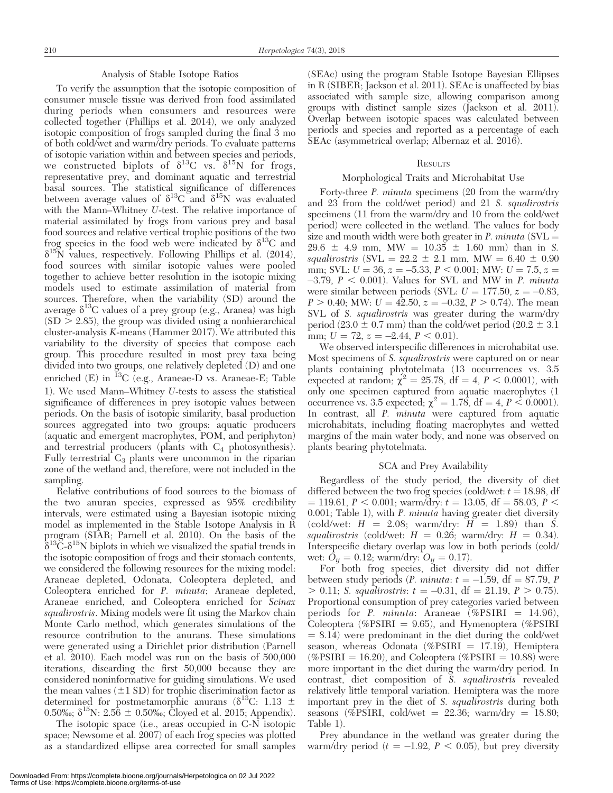#### Analysis of Stable Isotope Ratios

To verify the assumption that the isotopic composition of consumer muscle tissue was derived from food assimilated during periods when consumers and resources were collected together (Phillips et al. 2014), we only analyzed isotopic composition of frogs sampled during the final 3 mo of both cold/wet and warm/dry periods. To evaluate patterns of isotopic variation within and between species and periods, we constructed biplots of  $\delta^{13}C$  vs.  $\delta^{15}N$  for frogs, representative prey, and dominant aquatic and terrestrial basal sources. The statistical significance of differences between average values of  $\delta^{13}$ C and  $\delta^{15}$ N was evaluated with the Mann–Whitney U-test. The relative importance of material assimilated by frogs from various prey and basal food sources and relative vertical trophic positions of the two frog species in the food web were indicated by  $\delta^{13}C$  and  $\delta^{15}$ N values, respectively. Following Phillips et al. (2014), food sources with similar isotopic values were pooled together to achieve better resolution in the isotopic mixing models used to estimate assimilation of material from sources. Therefore, when the variability (SD) around the average  $\delta^{13}$ C values of a prey group (e.g., Aranea) was high  $(SD > 2.85)$ , the group was divided using a nonhierarchical cluster-analysis K-means (Hammer 2017). We attributed this variability to the diversity of species that compose each group. This procedure resulted in most prey taxa being divided into two groups, one relatively depleted (D) and one enriched  $(E)$  in <sup>13</sup>C (e.g., Araneae-D vs. Araneae-E; Table 1). We used Mann–Whitney U-tests to assess the statistical significance of differences in prey isotopic values between periods. On the basis of isotopic similarity, basal production sources aggregated into two groups: aquatic producers (aquatic and emergent macrophytes, POM, and periphyton) and terrestrial producers (plants with C<sub>4</sub> photosynthesis). Fully terrestrial  $C_3$  plants were uncommon in the riparian zone of the wetland and, therefore, were not included in the sampling.

Relative contributions of food sources to the biomass of the two anuran species, expressed as 95% credibility intervals, were estimated using a Bayesian isotopic mixing model as implemented in the Stable Isotope Analysis in R program (SIAR; Parnell et al. 2010). On the basis of the  $\delta^{13}$ C- $\delta^{15}$ N biplots in which we visualized the spatial trends in the isotopic composition of frogs and their stomach contents, we considered the following resources for the mixing model: Araneae depleted, Odonata, Coleoptera depleted, and Coleoptera enriched for P. minuta; Araneae depleted, Araneae enriched, and Coleoptera enriched for Scinax squalirostris. Mixing models were fit using the Markov chain Monte Carlo method, which generates simulations of the resource contribution to the anurans. These simulations were generated using a Dirichlet prior distribution (Parnell et al. 2010). Each model was run on the basis of 500,000 iterations, discarding the first 50,000 because they are considered noninformative for guiding simulations. We used the mean values  $(\pm 1 \text{ SD})$  for trophic discrimination factor as determined for postmetamorphic anurans ( $\delta^{13}C$ : 1.13  $\pm$ 0.50‰;  $\delta^{15}N$ : 2.56 ± 0.50‰; Cloyed et al. 2015; Appendix).

The isotopic space (i.e., areas occupied in C-N isotopic space; Newsome et al. 2007) of each frog species was plotted as a standardized ellipse area corrected for small samples

(SEAc) using the program Stable Isotope Bayesian Ellipses in R (SIBER; Jackson et al. 2011). SEAc is unaffected by bias associated with sample size, allowing comparison among groups with distinct sample sizes (Jackson et al. 2011). Overlap between isotopic spaces was calculated between periods and species and reported as a percentage of each SEAc (asymmetrical overlap; Albernaz et al. 2016).

# **RESULTS**

#### Morphological Traits and Microhabitat Use

Forty-three P. minuta specimens (20 from the warm/dry and 23 from the cold/wet period) and 21 S. squalirostris specimens (11 from the warm/dry and 10 from the cold/wet period) were collected in the wetland. The values for body size and mouth width were both greater in P. minuta ( $SVL =$  $29.6 \pm 4.9$  mm, MW =  $10.35 \pm 1.60$  mm) than in S. squalirostris (SVL =  $22.2 \pm 2.1$  mm, MW =  $6.40 \pm 0.90$ mm; SVL:  $U = 36$ ,  $z = -5.33$ ,  $P < 0.001$ ; MW:  $U = 7.5$ ,  $z =$  $-3.79$ ,  $P < 0.001$ ). Values for SVL and MW in *P. minuta* were similar between periods (SVL:  $U = 177.50$ ,  $z = -0.83$ ,  $P > 0.40$ ; MW:  $U = 42.50$ ,  $z = -0.32$ ,  $P > 0.74$ ). The mean SVL of S. squalirostris was greater during the warm/dry period (23.0  $\pm$  0.7 mm) than the cold/wet period (20.2  $\pm$  3.1 mm;  $U = 72$ ,  $z = -2.44$ ,  $P < 0.01$ ).

We observed interspecific differences in microhabitat use. Most specimens of S. *squalirostris* were captured on or near plants containing phytotelmata (13 occurrences vs. 3.5 expected at random;  $\chi^2 = 25.78$ , df = 4, P < 0.0001), with only one specimen captured from aquatic macrophytes (1 occurrence vs. 3.5 expected;  $\chi^2 = 1.78$ , df = 4, P < 0.0001). In contrast, all P. minuta were captured from aquatic microhabitats, including floating macrophytes and wetted margins of the main water body, and none was observed on plants bearing phytotelmata.

#### SCA and Prey Availability

Regardless of the study period, the diversity of diet differed between the two frog species (cold/wet:  $t = 18.98$ , df  $= 119.61, P < 0.001$ ; warm/dry:  $t = 13.05, df = 58.03, P <$ 0.001; Table 1), with P. minuta having greater diet diversity (cold/wet:  $H = 2.08$ ; warm/dry:  $H = 1.89$ ) than S. squalirostris (cold/wet:  $H = 0.26$ ; warm/dry:  $H = 0.34$ ). Interspecific dietary overlap was low in both periods (cold/ wet:  $O_{ij} = 0.12$ ; warm/dry:  $O_{ij} = 0.17$ ).

For both frog species, diet diversity did not differ between study periods (P. minuta:  $t = -1.59$ ,  $df = 87.79$ , P  $> 0.11$ ; S. squalirostris:  $t = -0.31$ , df = 21.19,  $P > 0.75$ ). Proportional consumption of prey categories varied between periods for *P. minuta*: Araneae (%PSIRI = 14.96), Coleoptera (%PSIRI = 9.65), and Hymenoptera (%PSIRI  $= 8.14$ ) were predominant in the diet during the cold/wet season, whereas Odonata (%PSIRI  $=$  17.19), Hemiptera  $(\%$ PSIRI = 16.20), and Coleoptera (%PSIRI = 10.88) were more important in the diet during the warm/dry period. In contrast, diet composition of S. squalirostris revealed relatively little temporal variation. Hemiptera was the more important prey in the diet of S. squalirostris during both seasons (%PSIRI, cold/wet =  $22.36$ ; warm/dry = 18.80; Table 1).

Prey abundance in the wetland was greater during the warm/dry period ( $t = -1.92, P < 0.05$ ), but prey diversity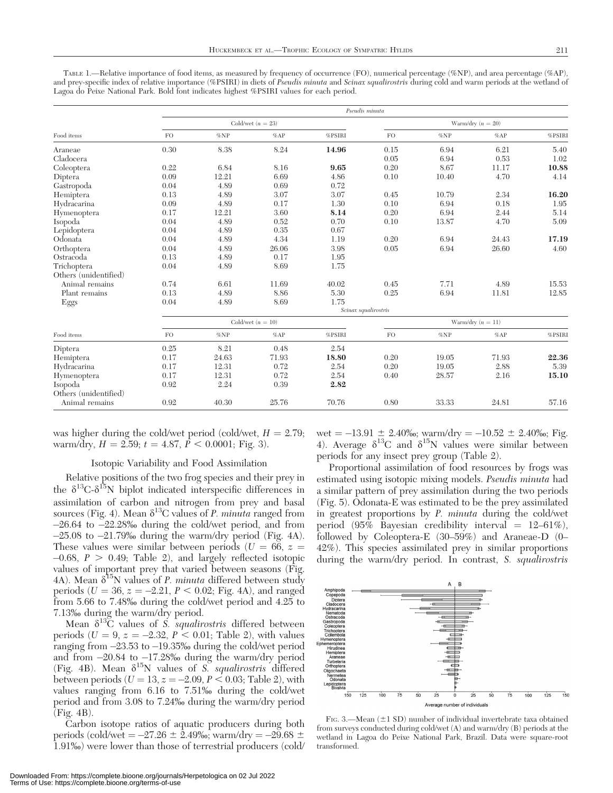|                       | Pseudis minuta       |                 |                     |        |                     |                 |        |        |  |  |  |
|-----------------------|----------------------|-----------------|---------------------|--------|---------------------|-----------------|--------|--------|--|--|--|
| Food items            |                      |                 | Cold/wet $(n = 23)$ |        | Warm/dry $(n = 20)$ |                 |        |        |  |  |  |
|                       | <b>FO</b>            | $\%\mathrm{NP}$ | $\%$ AP             | %PSIRI | FO.                 | %NP             | $\%AP$ | %PSIRI |  |  |  |
| Araneae               | 0.30                 | 8.38            | 8.24                | 14.96  | 0.15                | 6.94            | 6.21   | 5.40   |  |  |  |
| Cladocera             |                      |                 |                     |        | 0.05                | 6.94            | 0.53   | 1.02   |  |  |  |
| Coleoptera            | 0.22                 | 6.84            | 8.16                | 9.65   | 0.20                | 8.67            | 11.17  | 10.88  |  |  |  |
| Diptera               | 0.09                 | 12.21           | 6.69                | 4.86   | 0.10                | 10.40           | 4.70   | 4.14   |  |  |  |
| Gastropoda            | 0.04                 | 4.89            | 0.69                | 0.72   |                     |                 |        |        |  |  |  |
| Hemiptera             | 0.13                 | 4.89            | 3.07                | 3.07   | 0.45                | 10.79           | 2.34   | 16.20  |  |  |  |
| Hydracarina           | 0.09                 | 4.89            | 0.17                | 1.30   | 0.10                | 6.94            | 0.18   | 1.95   |  |  |  |
| Hymenoptera           | 0.17                 | 12.21           | 3.60                | 8.14   | 0.20                | 6.94            | 2.44   | 5.14   |  |  |  |
| Isopoda               | 0.04                 | 4.89            | 0.52                | 0.70   | 0.10                | 13.87           | 4.70   | 5.09   |  |  |  |
| Lepidoptera           | 0.04                 | 4.89            | 0.35                | 0.67   |                     |                 |        |        |  |  |  |
| Odonata               | 0.04                 | 4.89            | 4.34                | 1.19   | 0.20                | 6.94            | 24.43  | 17.19  |  |  |  |
| Orthoptera            | 0.04                 | 4.89            | 26.06               | 3.98   | 0.05                | 6.94            | 26.60  | 4.60   |  |  |  |
| Ostracoda             | 0.13                 | 4.89            | 0.17                | 1.95   |                     |                 |        |        |  |  |  |
| Trichoptera           | 0.04                 | 4.89            | 8.69                | 1.75   |                     |                 |        |        |  |  |  |
| Others (unidentified) |                      |                 |                     |        |                     |                 |        |        |  |  |  |
| Animal remains        | 0.74                 | 6.61            | 11.69               | 40.02  | 0.45                | 7.71            | 4.89   | 15.53  |  |  |  |
| Plant remains         | 0.13                 | 4.89            | 8.86                | 5.30   | 0.25                | 6.94            | 11.81  | 12.85  |  |  |  |
| Eggs                  | 0.04                 | 4.89            | 8.69                | 1.75   |                     |                 |        |        |  |  |  |
|                       | Scinax squalirostris |                 |                     |        |                     |                 |        |        |  |  |  |
|                       | Cold/wet $(n = 10)$  |                 |                     |        | Warm/dry $(n = 11)$ |                 |        |        |  |  |  |
| Food items            | $_{\rm FO}$          | %NP             | $\%$ AP             | %PSIRI | $_{\rm FO}$         | $\%\mathrm{NP}$ | $\%AP$ | %PSIRI |  |  |  |
| Diptera               | 0.25                 | 8.21            | 0.48                | 2.54   |                     |                 |        |        |  |  |  |
| Hemiptera             | 0.17                 | 24.63           | 71.93               | 18.80  | 0.20                | 19.05           | 71.93  | 22.36  |  |  |  |
| Hydracarina           | 0.17                 | 12.31           | 0.72                | 2.54   | 0.20                | 19.05           | 2.88   | 5.39   |  |  |  |
| Hymenoptera           | 0.17                 | 12.31           | 0.72                | 2.54   | 0.40                | 28.57           | 2.16   | 15.10  |  |  |  |
| Isopoda               | 0.92                 | 2.24            | 0.39                | 2.82   |                     |                 |        |        |  |  |  |
| Others (unidentified) |                      |                 |                     |        |                     |                 |        |        |  |  |  |
| Animal remains        | 0.92                 | 40.30           | 25.76               | 70.76  | 0.80                | 33.33           | 24.81  | 57.16  |  |  |  |
|                       |                      |                 |                     |        |                     |                 |        |        |  |  |  |

TABLE 1.—Relative importance of food items, as measured by frequency of occurrence (FO), numerical percentage (%NP), and area percentage (%AP), and prey-specific index of relative importance (%PSIRI) in diets of Pseudis minuta and Scinax squalirostris during cold and warm periods at the wetland of Lagoa do Peixe National Park. Bold font indicates highest %PSIRI values for each period.

was higher during the cold/wet period (cold/wet,  $H = 2.79$ ; warm/dry,  $H = 2.59$ ;  $t = 4.87$ ,  $P < 0.0001$ ; Fig. 3).

## Isotopic Variability and Food Assimilation

Relative positions of the two frog species and their prey in the  $\delta^{13}C-\delta^{15}N$  biplot indicated interspecific differences in assimilation of carbon and nitrogen from prey and basal sources (Fig. 4). Mean  $\delta^{13}C$  values of P. minuta ranged from -26.64 to -22.28% during the cold/wet period, and from  $-25.08$  to  $-21.79\%$  during the warm/dry period (Fig. 4A). These values were similar between periods ( $U = 66$ ,  $z =$  $-0.68$ ,  $P > 0.49$ ; Table 2), and largely reflected isotopic values of important prey that varied between seasons (Fig. 4A). Mean  $\delta^{15}N$  values of *P. minuta* differed between study periods ( $U = 36$ ,  $z = -2.21$ ,  $P < 0.02$ ; Fig. 4A), and ranged from 5.66 to 7.48% during the cold/wet period and 4.25 to 7.13% during the warm/dry period.

Mean  $\delta^{13}$ C values of S. *squalirostris* differed between periods  $(U = 9, z = -2.32, P < 0.01;$  Table 2), with values ranging from -23.53 to -19.35% during the cold/wet period and from  $-20.84$  to  $-17.28%$  during the warm/dry period (Fig. 4B). Mean  $\delta^{15}N$  values of S. squalirostris differed between periods ( $U = 13$ ,  $z = -2.09$ ,  $P < 0.03$ ; Table 2), with values ranging from 6.16 to 7.51% during the cold/wet period and from 3.08 to 7.24% during the warm/dry period (Fig. 4B).

Carbon isotope ratios of aquatic producers during both periods (cold/wet =  $-27.26 \pm 2.49$ %; warm/dry =  $-29.68 \pm$ 1.91%) were lower than those of terrestrial producers (cold/

wet  $= -13.91 \pm 2.40\%$ ; warm/dry  $= -10.52 \pm 2.40\%$ ; Fig. 4). Average  $\delta^{13}C$  and  $\delta^{15}N$  values were similar between periods for any insect prey group (Table 2).

Proportional assimilation of food resources by frogs was estimated using isotopic mixing models. Pseudis minuta had a similar pattern of prey assimilation during the two periods (Fig. 5). Odonata-E was estimated to be the prey assimilated in greatest proportions by P. minuta during the cold/wet period (95% Bayesian credibility interval  $= 12-61\%$ ), followed by Coleoptera-E (30–59%) and Araneae-D (0– 42%). This species assimilated prey in similar proportions during the warm/dry period. In contrast, *S. squalirostris* 



FIG. 3.—Mean  $(\pm 1$  SD) number of individual invertebrate taxa obtained from surveys conducted during cold/wet (A) and warm/dry (B) periods at the wetland in Lagoa do Peixe National Park, Brazil. Data were square-root transformed.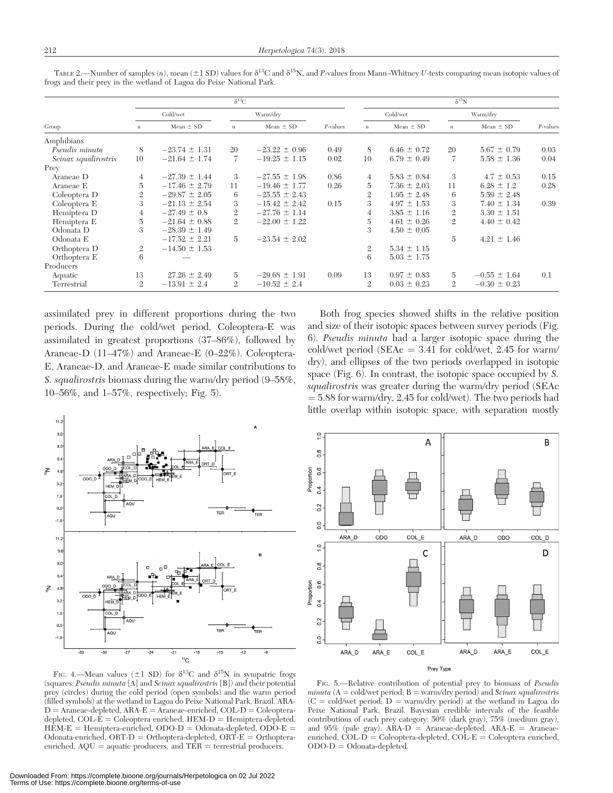| Group                | $\delta^{13}C$   |                   |                  |                   |             | $\delta^{15}N$   |                 |                  |                  |             |
|----------------------|------------------|-------------------|------------------|-------------------|-------------|------------------|-----------------|------------------|------------------|-------------|
|                      | Cold/wet         |                   | Warm/dry         |                   |             | Cold/wet         |                 | Warm/dry         |                  |             |
|                      | $\boldsymbol{n}$ | Mean $\pm$ SD     | $\boldsymbol{n}$ | Mean $\pm$ SD     | $P$ -values | $\boldsymbol{n}$ | $Mean \pm SD$   | $\boldsymbol{n}$ | $Mean \pm SD$    | $P$ -values |
| Amphibians           |                  |                   |                  |                   |             |                  |                 |                  |                  |             |
| Pseudis minuta       | 8                | $-23.74 \pm 1.31$ | 20               | $-23.22 \pm 0.96$ | 0.49        | 8                | $6.46 \pm 0.72$ | 20               | $5.67 \pm 0.79$  | 0.03        |
| Scinax squalirostris | 10               | $-21.64 \pm 1.74$ | 7                | $-19.25 \pm 1.15$ | 0.02        | 10               | $6.79 \pm 0.49$ | 7                | $5.58 \pm 1.36$  | 0.04        |
| Prev                 |                  |                   |                  |                   |             |                  |                 |                  |                  |             |
| Araneae D            | 4                | $-27.39 \pm 1.44$ | $\mathcal{S}$    | $-27.55 \pm 1.98$ | 0.86        | 4                | $5.83 \pm 0.84$ | 3                | $4.7 \pm 0.53$   | 0.15        |
| Araneae E            | 5                | $-17.46 \pm 2.79$ | 11               | $-19.46 \pm 1.77$ | 0.26        | 5                | $7.36 \pm 2.03$ | 11               | $6.28 \pm 1.2$   | 0.28        |
| Coleoptera D         | $\overline{2}$   | $-29.87 \pm 2.05$ | 6                | $-25.55 \pm 2.43$ |             | $\overline{2}$   | $1.95 \pm 2.48$ | 6                | $5.59 \pm 2.48$  |             |
| Coleoptera E         | 3                | $-21.13 \pm 2.54$ | 3                | $-15.42 \pm 2.42$ | 0.15        | 3                | $4.97 \pm 1.53$ | 3                | $7.40 \pm 1.34$  | 0.39        |
| Hemiptera D          | 4                | $-27.49 \pm 0.8$  | $\mathbf{2}$     | $-27.76 \pm 1.14$ |             | 4                | $3.85 \pm 1.16$ | $\mathbf 2$      | $3.30 \pm 1.51$  |             |
| Hemiptera E          | 5                | $-21.64 \pm 0.88$ | $\mathbf{2}$     | $-22.00 \pm 1.22$ |             | 5                | $4.61 \pm 0.26$ | $\overline{2}$   | $4.40 \pm 0.42$  |             |
| Odonata D            | 3                | $-28.39 \pm 1.49$ |                  |                   |             | 3                | $4.50 \pm 0.05$ |                  |                  |             |
| Odonata E            |                  | $-17.52 \pm 2.21$ | $\overline{5}$   | $-23.54 \pm 2.02$ |             |                  |                 | $\overline{5}$   | $4.21 \pm 1.46$  |             |
| Orthoptera D         | $\mathbf{2}$     | $-14.50 \pm 1.53$ |                  |                   |             | 2                | $5.34 \pm 1.15$ |                  |                  |             |
| Orthoptera E         | 6                |                   |                  |                   |             | 6                | $5.03 \pm 1.75$ |                  |                  |             |
| Producers            |                  |                   |                  |                   |             |                  |                 |                  |                  |             |
| Aquatic              | 13               | $27.26 \pm 2.49$  | 5                | $-29.68 \pm 1.91$ | 0.09        | 13               | $0.97 \pm 0.83$ | 5                | $-0.55 \pm 1.64$ | 0.1         |
| Terrestrial          | $\overline{2}$   | $-13.91 \pm 2.4$  | $\overline{2}$   | $-10.52 \pm 2.4$  |             | $\overline{2}$   | $0.03 \pm 0.23$ | $\overline{2}$   | $-0.30 \pm 0.23$ |             |

TABLE 2.—Number of samples (n), mean ( $\pm 1$  SD) values for  $\delta^{13}C$  and  $\delta^{15}N$ , and P-values from Mann–Whitney U-tests comparing mean isotopic values of frogs and their prey in the wetland of Lagoa do Peixe National Park.

assimilated prey in different proportions during the two periods. During the cold/wet period, Coleoptera-E was assimilated in greatest proportions (37–86%), followed by Araneae-D (11–47%) and Araneae-E (0–22%). Coleoptera-E, Araneae-D, and Araneae-E made similar contributions to S. squalirostris biomass during the warm/dry period (9–58%, 10–56%, and 1–57%, respectively; Fig. 5).

Both frog species showed shifts in the relative position and size of their isotopic spaces between survey periods (Fig. 6). Pseudis minuta had a larger isotopic space during the cold/wet period (SEAc  $=$  3.41 for cold/wet, 2.45 for warm/ dry), and ellipses of the two periods overlapped in isotopic space (Fig. 6). In contrast, the isotopic space occupied by S. squalirostris was greater during the warm/dry period (SEAc  $=$  5.88 for warm/dry, 2.45 for cold/wet). The two periods had little overlap within isotopic space, with separation mostly





FIG. 4.—Mean values ( $\pm 1$  SD) for  $\delta^{13}$ C and  $\delta^{15}$ N in sympatric frogs (squares: Pseudis minuta [A] and Scinax squalirostris [B]) and their potential prey (circles) during the cold period (open symbols) and the warm period (filled symbols) at the wetland in Lagoa do Peixe National Park, Brazil. ARA- $D =$  Araneae-depleted, ARA-E = Araneae-enriched, COL- $D =$  Coleopteradepleted, COL- $\bar{E}$  = Coleoptera enriched, HEM-D = Hemiptera-depleted,  $HEM-E =$  Hemiptera-enriched, ODO-D = Odonata-depleted, ODO-E = Odonata-enriched, ORT-D = Orthoptera-depleted, ORT- $E =$  Orthopteraenriched,  $AQU =$  aquatic producers, and  $TER =$  terrestrial producers.

FIG. 5.—Relative contribution of potential prey to biomass of Pseudis minuta ( $A = cold/wet$  period;  $B = warm/dry$  period) and Scinax squalirostris  $(C = cold/wet period; D = warm/dry period)$  at the wetland in Lagoa do Peixe National Park, Brazil. Bayesian credible intervals of the feasible contributions of each prey category: 50% (dark gray), 75% (medium gray), and  $95\%$  (pale gray). ARA-D = Araneae-depleted, ARA-E = Araneaeenriched,  $\overrightarrow{COL-D} = \text{Coleoptera-depleted}, \overrightarrow{COL-E} = \text{Coleoptera enriched},$  $ODO-D = Odonata-depleted.$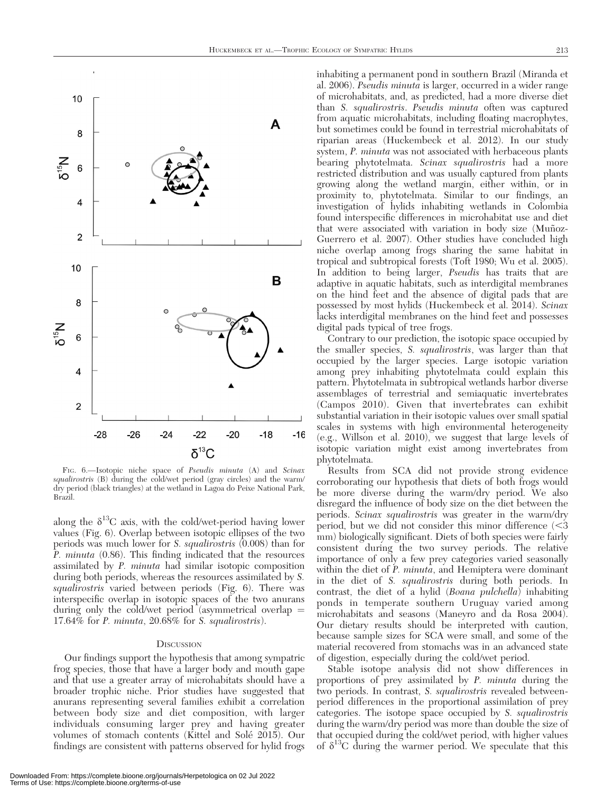

FIG. 6.—Isotopic niche space of Pseudis minuta (A) and Scinax squalirostris (B) during the cold/wet period (gray circles) and the warm/ dry period (black triangles) at the wetland in Lagoa do Peixe National Park, Brazil.

along the  $\delta^{13}$ C axis, with the cold/wet-period having lower values (Fig. 6). Overlap between isotopic ellipses of the two periods was much lower for S. squalirostris (0.008) than for P. minuta (0.86). This finding indicated that the resources assimilated by P. minuta had similar isotopic composition during both periods, whereas the resources assimilated by S. squalirostris varied between periods (Fig. 6). There was interspecific overlap in isotopic spaces of the two anurans during only the cold/wet period (asymmetrical overlap  $=$  $17.64\%$  for P. minuta,  $20.68\%$  for S. squalirostris).

#### **DISCUSSION**

Our findings support the hypothesis that among sympatric frog species, those that have a larger body and mouth gape and that use a greater array of microhabitats should have a broader trophic niche. Prior studies have suggested that anurans representing several families exhibit a correlation between body size and diet composition, with larger individuals consuming larger prey and having greater volumes of stomach contents (Kittel and Sole 2015). Our ´ findings are consistent with patterns observed for hylid frogs inhabiting a permanent pond in southern Brazil (Miranda et al. 2006). Pseudis minuta is larger, occurred in a wider range of microhabitats, and, as predicted, had a more diverse diet than S. squalirostris. Pseudis minuta often was captured from aquatic microhabitats, including floating macrophytes, but sometimes could be found in terrestrial microhabitats of riparian areas (Huckembeck et al. 2012). In our study system, P. minuta was not associated with herbaceous plants bearing phytotelmata. Scinax squalirostris had a more restricted distribution and was usually captured from plants growing along the wetland margin, either within, or in proximity to, phytotelmata. Similar to our findings, an investigation of hylids inhabiting wetlands in Colombia found interspecific differences in microhabitat use and diet that were associated with variation in body size (Muñoz-Guerrero et al. 2007). Other studies have concluded high niche overlap among frogs sharing the same habitat in tropical and subtropical forests (Toft 1980; Wu et al. 2005). In addition to being larger, Pseudis has traits that are adaptive in aquatic habitats, such as interdigital membranes on the hind feet and the absence of digital pads that are possessed by most hylids (Huckembeck et al. 2014). Scinax lacks interdigital membranes on the hind feet and possesses digital pads typical of tree frogs.

Contrary to our prediction, the isotopic space occupied by the smaller species, S. squalirostris, was larger than that occupied by the larger species. Large isotopic variation among prey inhabiting phytotelmata could explain this pattern. Phytotelmata in subtropical wetlands harbor diverse assemblages of terrestrial and semiaquatic invertebrates (Campos 2010). Given that invertebrates can exhibit substantial variation in their isotopic values over small spatial scales in systems with high environmental heterogeneity (e.g., Willson et al. 2010), we suggest that large levels of isotopic variation might exist among invertebrates from phytotelmata.

Results from SCA did not provide strong evidence corroborating our hypothesis that diets of both frogs would be more diverse during the warm/dry period. We also disregard the influence of body size on the diet between the periods. Scinax squalirostris was greater in the warm/dry period, but we did not consider this minor difference  $\langle \leq 3 \rangle$ mm) biologically significant. Diets of both species were fairly consistent during the two survey periods. The relative importance of only a few prey categories varied seasonally within the diet of P. minuta, and Hemiptera were dominant in the diet of S. squalirostris during both periods. In contrast, the diet of a hylid (Boana pulchella) inhabiting ponds in temperate southern Uruguay varied among microhabitats and seasons (Maneyro and da Rosa 2004). Our dietary results should be interpreted with caution, because sample sizes for SCA were small, and some of the material recovered from stomachs was in an advanced state of digestion, especially during the cold/wet period.

Stable isotope analysis did not show differences in proportions of prey assimilated by P. minuta during the two periods. In contrast, S. squalirostris revealed betweenperiod differences in the proportional assimilation of prey categories. The isotope space occupied by S. squalirostris during the warm/dry period was more than double the size of that occupied during the cold/wet period, with higher values of  $\delta^{13}$ C during the warmer period. We speculate that this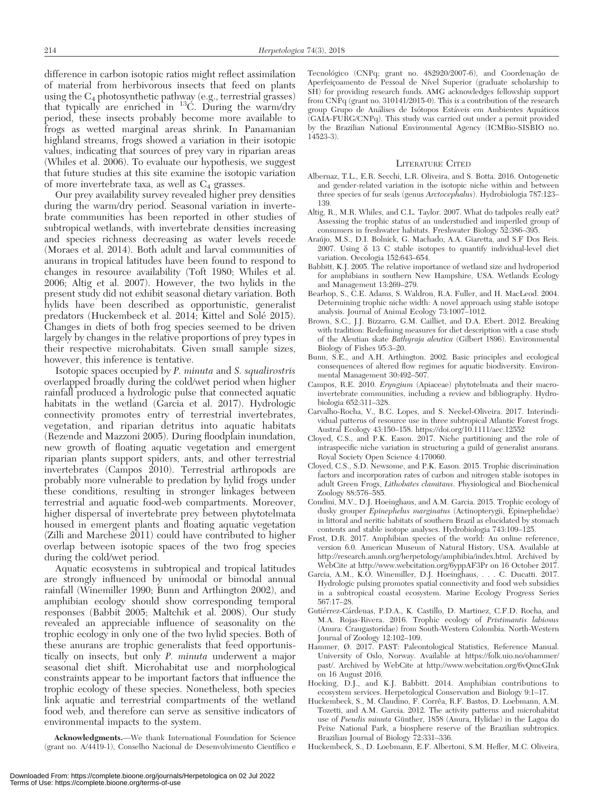difference in carbon isotopic ratios might reflect assimilation of material from herbivorous insects that feed on plants using the  $C_4$  photosynthetic pathway (e.g., terrestrial grasses) that typically are enriched in  ${}^{13}$ C. During the warm/dry period, these insects probably become more available to frogs as wetted marginal areas shrink. In Panamanian highland streams, frogs showed a variation in their isotopic values, indicating that sources of prey vary in riparian areas (Whiles et al. 2006). To evaluate our hypothesis, we suggest that future studies at this site examine the isotopic variation of more invertebrate taxa, as well as  $C_4$  grasses.

Our prey availability survey revealed higher prey densities during the warm/dry period. Seasonal variation in invertebrate communities has been reported in other studies of subtropical wetlands, with invertebrate densities increasing and species richness decreasing as water levels recede (Moraes et al. 2014). Both adult and larval communities of anurans in tropical latitudes have been found to respond to changes in resource availability (Toft 1980; Whiles et al. 2006; Altig et al. 2007). However, the two hylids in the present study did not exhibit seasonal dietary variation. Both hylids have been described as opportunistic, generalist predators (Huckembeck et al. 2014; Kittel and Solé 2015). Changes in diets of both frog species seemed to be driven largely by changes in the relative proportions of prey types in their respective microhabitats. Given small sample sizes, however, this inference is tentative.

Isotopic spaces occupied by P. minuta and S. squalirostris overlapped broadly during the cold/wet period when higher rainfall produced a hydrologic pulse that connected aquatic habitats in the wetland (Garcia et al. 2017). Hydrologic connectivity promotes entry of terrestrial invertebrates, vegetation, and riparian detritus into aquatic habitats (Rezende and Mazzoni 2005). During floodplain inundation, new growth of floating aquatic vegetation and emergent riparian plants support spiders, ants, and other terrestrial invertebrates (Campos 2010). Terrestrial arthropods are probably more vulnerable to predation by hylid frogs under these conditions, resulting in stronger linkages between terrestrial and aquatic food-web compartments. Moreover, higher dispersal of invertebrate prey between phytotelmata housed in emergent plants and floating aquatic vegetation (Zilli and Marchese 2011) could have contributed to higher overlap between isotopic spaces of the two frog species during the cold/wet period.

Aquatic ecosystems in subtropical and tropical latitudes are strongly influenced by unimodal or bimodal annual rainfall (Winemiller 1990; Bunn and Arthington 2002), and amphibian ecology should show corresponding temporal responses (Babbit 2005; Maltchik et al. 2008). Our study revealed an appreciable influence of seasonality on the trophic ecology in only one of the two hylid species. Both of these anurans are trophic generalists that feed opportunistically on insects, but only P. minuta underwent a major seasonal diet shift. Microhabitat use and morphological constraints appear to be important factors that influence the trophic ecology of these species. Nonetheless, both species link aquatic and terrestrial compartments of the wetland food web, and therefore can serve as sensitive indicators of environmental impacts to the system.

Acknowledgments.—We thank International Foundation for Science (grant no. A/4419-1), Conselho Nacional de Desenvolvimento Científico e Tecnológico (CNPq; grant no. 482920/2007-6), and Coordenação de Aperfeiçoamento de Pessoal de Nível Superior (graduate scholarship to SH) for providing research funds. AMG acknowledges fellowship support from CNPq (grant no. 310141/2015-0). This is a contribution of the research group Grupo de Análises de Isótopos Estáveis em Ambientes Aquáticos (GAIA-FURG/CNPq). This study was carried out under a permit provided by the Brazilian National Environmental Agency (ICMBio-SISBIO no. 14523-3).

#### LITERATURE CITED

- Albernaz, T.L., E.R. Secchi, L.R. Oliveira, and S. Botta. 2016. Ontogenetic and gender-related variation in the isotopic niche within and between three species of fur seals (genus Arctocephalus). Hydrobiologia 787:123– 139.
- Altig, R., M.R. Whiles, and C.L. Taylor. 2007. What do tadpoles really eat? Assessing the trophic status of an understudied and imperiled group of consumers in freshwater habitats. Freshwater Biology 52:386–395.
- Araújo, M.S., D.I. Bolnick, G. Machado, A.A. Giaretta, and S.F Dos Reis.  $2007$ . Using  $\delta$  13 C stable isotopes to quantify individual-level diet variation. Oecologia 152:643–654.
- Babbitt, K.J. 2005. The relative importance of wetland size and hydroperiod for amphibians in southern New Hampshire, USA. Wetlands Ecology and Management 13:269–279.
- Bearhop, S., C.E. Adams, S. Waldron, R.A. Fuller, and H. MacLeod. 2004. Determining trophic niche width: A novel approach using stable isotope analysis. Journal of Animal Ecology 73:1007-1012.
- Brown, S.C., J.J. Bizzarro, G.M. Cailliet, and D.A. Ebert. 2012. Breaking with tradition: Redefining measures for diet description with a case study of the Aleutian skate Bathyraja aleutica (Gilbert 1896). Environmental Biology of Fishes 95:3–20.
- Bunn, S.E., and A.H. Arthington. 2002. Basic principles and ecological consequences of altered flow regimes for aquatic biodiversity. Environmental Management 30:492–507.
- Campos, R.E. 2010. Eryngium (Apiaceae) phytotelmata and their macroinvertebrate communities, including a review and bibliography. Hydrobiologia 652:311–328.
- Carvalho-Rocha, V., B.C. Lopes, and S. Neckel-Oliveira. 2017. Interindividual patterns of resource use in three subtropical Atlantic Forest frogs. Austral Ecology 43:150–158. https://doi.org/10.1111/aec.12552
- Cloyed, C.S., and P.K. Eason. 2017. Niche partitioning and the role of intraspecific niche variation in structuring a guild of generalist anurans. Royal Society Open Science 4:170060.
- Cloyed, C.S., S.D. Newsome, and P.K. Eason. 2015. Trophic discrimination factors and incorporation rates of carbon and nitrogen stable isotopes in adult Green Frogs, Lithobates clamitans. Physiological and Biochemical Zoology 88:576–585.
- Condini, M.V., D.J. Hoeinghaus, and A.M. Garcia. 2015. Trophic ecology of dusky grouper Epinephelus marginatus (Actinopterygii, Epinephelidae) in littoral and neritic habitats of southern Brazil as elucidated by stomach contents and stable isotope analyses. Hydrobiologia 743:109–125.
- Frost, D.R. 2017. Amphibian species of the world: An online reference, version 6.0. American Museum of Natural History, USA. Available at http://research.amnh.org/herpetology/amphibia/index.html. Archived by WebCite at http://www.webcitation.org/6yppAF3Pr on 16 October 2017.
- Garcia, A.M., K.O. Winemiller, D.J. Hoeinghaus, . . . C. Ducatti. 2017. Hydrologic pulsing promotes spatial connectivity and food web subsidies in a subtropical coastal ecosystem. Marine Ecology Progress Series 567:17–28.
- Gutiérrez-Cárdenas, P.D.A., K. Castillo, D. Martinez, C.F.D. Rocha, and M.A. Rojas-Rivera. 2016. Trophic ecology of Pristimantis labiosus (Anura: Craugastoridae) from South-Western Colombia. North-Western Journal of Zoology 12:102–109.
- Hammer, Ø. 2017. PAST: Paleontological Statistics, Reference Manual. University of Oslo, Norway. Available at https://folk.uio.no/ohammer/ past/. Archived by WebCite at http://www.webcitation.org/6vQmcGInk on 16 August 2016.
- Hocking, D.J., and K.J. Babbitt. 2014. Amphibian contributions to ecosystem services. Herpetological Conservation and Biology 9:1–17.
- Huckembeck, S., M. Claudino, F. Corrêa, R.F. Bastos, D. Loebmann, A.M. Tozetti, and A.M. Garcia. 2012. The activity patterns and microhabitat use of Pseudis minuta Günther, 1858 (Anura, Hylidae) in the Lagoa do Peixe National Park, a biosphere reserve of the Brazilian subtropics. Brazilian Journal of Biology 72:331–336.
- Huckembeck, S., D. Loebmann, E.F. Albertoni, S.M. Hefler, M.C. Oliveira,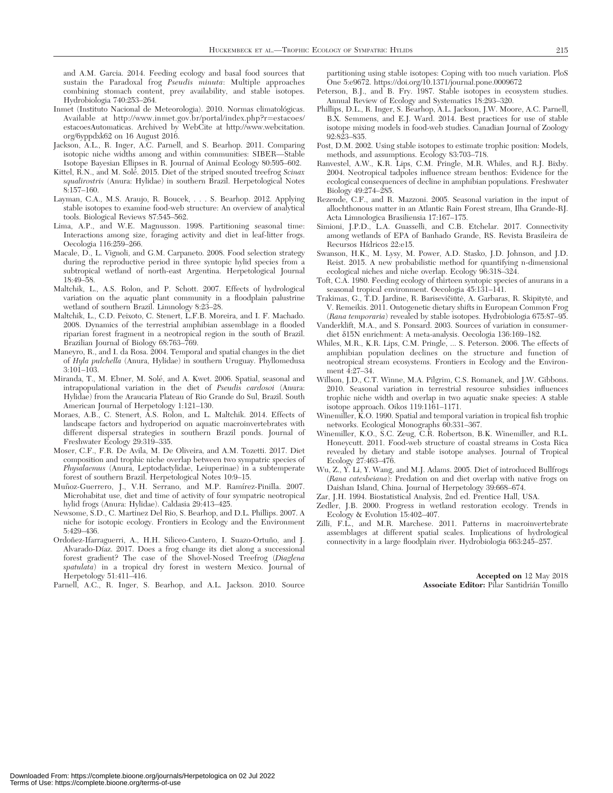and A.M. Garcia. 2014. Feeding ecology and basal food sources that sustain the Paradoxal frog Pseudis minuta: Multiple approaches combining stomach content, prey availability, and stable isotopes. Hydrobiologia 740:253–264.

- Inmet (Instituto Nacional de Meteorologia). 2010. Normas climatologicas. ´ Available at http://www.inmet.gov.br/portal/index.php?r=estacoes/ estacoesAutomaticas. Archived by WebCite at http://www.webcitation. org/6yppdxk62 on 16 August 2016.
- Jackson, A.L., R. Inger, A.C. Parnell, and S. Bearhop. 2011. Comparing isotopic niche widths among and within communities: SIBER—Stable Isotope Bayesian Ellipses in R. Journal of Animal Ecology 80:595–602.
- Kittel, R.N., and M. Sole. 2015. Diet of the striped snouted treefrog Scinax squalirostris (Anura: Hylidae) in southern Brazil. Herpetological Notes 8:157–160.
- Layman, C.A., M.S. Araujo, R. Boucek, . . . S. Bearhop. 2012. Applying stable isotopes to examine food-web structure: An overview of analytical tools. Biological Reviews 87:545–562.
- Lima, A.P., and W.E. Magnusson. 1998. Partitioning seasonal time: Interactions among size, foraging activity and diet in leaf-litter frogs. Oecologia 116:259–266.
- Macale, D., L. Vignoli, and G.M. Carpaneto. 2008. Food selection strategy during the reproductive period in three syntopic hylid species from a subtropical wetland of north-east Argentina. Herpetological Journal 18:49–58.
- Maltchik, L., A.S. Rolon, and P. Schott. 2007. Effects of hydrological variation on the aquatic plant community in a floodplain palustrine wetland of southern Brazil. Limnology 8:23–28.
- Maltchik, L., C.D. Peixoto, C. Stenert, L.F.B. Moreira, and I. F. Machado. 2008. Dynamics of the terrestrial amphibian assemblage in a flooded riparian forest fragment in a neotropical region in the south of Brazil. Brazilian Journal of Biology 68:763–769.
- Maneyro, R., and I. da Rosa. 2004. Temporal and spatial changes in the diet of Hyla pulchella (Anura, Hylidae) in southern Uruguay. Phyllomedusa 3:101–103.
- Miranda, T., M. Ebner, M. Sole, and A. Kwet. 2006. Spatial, seasonal and ´ intrapopulational variation in the diet of Pseudis cardosoi (Anura: Hylidae) from the Araucaria Plateau of Rio Grande do Sul, Brazil. South American Journal of Herpetology 1:121–130.
- Moraes, A.B., C. Stenert, A.S. Rolon, and L. Maltchik. 2014. Effects of landscape factors and hydroperiod on aquatic macroinvertebrates with different dispersal strategies in southern Brazil ponds. Journal of Freshwater Ecology 29:319–335.
- Moser, C.F., F.R. De Avila, M. De Oliveira, and A.M. Tozetti. 2017. Diet composition and trophic niche overlap between two sympatric species of Physalaemus (Anura, Leptodactylidae, Leiuperinae) in a subtemperate forest of southern Brazil. Herpetological Notes 10:9–15.
- Muñoz-Guerrero, J., V.H. Serrano, and M.P. Ramírez-Pinilla. 2007. Microhabitat use, diet and time of activity of four sympatric neotropical hylid frogs (Anura: Hylidae). Caldasia 29:413–425.
- Newsome, S.D., C. Martinez Del Rio, S. Bearhop, and D.L. Phillips. 2007. A niche for isotopic ecology. Frontiers in Ecology and the Environment 5:429–436.
- Ordoñez-Ifarraguerri, A., H.H. Siliceo-Cantero, I. Suazo-Ortuño, and J. Alvarado-Díaz. 2017. Does a frog change its diet along a successional forest gradient? The case of the Shovel-Nosed Treefrog (Diaglena spatulata) in a tropical dry forest in western Mexico. Journal of Herpetology 51:411–416.
- Parnell, A.C., R. Inger, S. Bearhop, and A.L. Jackson. 2010. Source

partitioning using stable isotopes: Coping with too much variation. PloS One 5:e9672. https://doi.org/10.1371/journal.pone.0009672

- Peterson, B.J., and B. Fry. 1987. Stable isotopes in ecosystem studies. Annual Review of Ecology and Systematics 18:293–320.
- Phillips, D.L., R. Inger, S. Bearhop, A.L. Jackson, J.W. Moore, A.C. Parnell, B.X. Semmens, and E.J. Ward. 2014. Best practices for use of stable isotope mixing models in food-web studies. Canadian Journal of Zoology 92:823–835.
- Post, D.M. 2002. Using stable isotopes to estimate trophic position: Models, methods, and assumptions. Ecology 83:703–718.
- Ranvestel, A.W., K.R. Lips, C.M. Pringle, M.R. Whiles, and R.J. Bixby. 2004. Neotropical tadpoles influence stream benthos: Evidence for the ecological consequences of decline in amphibian populations. Freshwater Biology 49:274–285.
- Rezende, C.F., and R. Mazzoni. 2005. Seasonal variation in the input of allochthonous matter in an Atlantic Rain Forest stream, Ilha Grande-RJ. Acta Limnologica Brasiliensia 17:167–175.
- Simioni, J.P.D., L.A. Guasselli, and C.B. Etchelar. 2017. Connectivity among wetlands of EPA of Banhado Grande, RS. Revista Brasileira de Recursos Hídricos 22:e15.
- Swanson, H.K., M. Lysy, M. Power, A.D. Stasko, J.D. Johnson, and J.D. Reist. 2015. A new probabilistic method for quantifying n-dimensional ecological niches and niche overlap. Ecology 96:318–324.
- Toft, C.A. 1980. Feeding ecology of thirteen syntopic species of anurans in a seasonal tropical environment. Oecologia 45:131–141.
- Trakimas, G., T.D. Jardine, R. Barisevičiūtė, A. Garbaras, R. Skipitytė, and V. Remeikis. 2011. Ontogenetic dietary shifts in European Common Frog (Rana temporaria) revealed by stable isotopes. Hydrobiologia 675:87–95.
- Vanderklift, M.A., and S. Ponsard. 2003. Sources of variation in consumerdiet δ15N enrichment: A meta-analysis. Oecologia 136:169-182.
- Whiles, M.R., K.R. Lips, C.M. Pringle, ... S. Peterson. 2006. The effects of amphibian population declines on the structure and function of neotropical stream ecosystems. Frontiers in Ecology and the Environment 4:27–34.
- Willson, J.D., C.T. Winne, M.A. Pilgrim, C.S. Romanek, and J.W. Gibbons. 2010. Seasonal variation in terrestrial resource subsidies influences trophic niche width and overlap in two aquatic snake species: A stable isotope approach. Oikos 119:1161–1171.
- Winemiller, K.O. 1990. Spatial and temporal variation in tropical fish trophic networks. Ecological Monographs 60:331–367.
- Winemiller, K.O., S.C. Zeug, C.R. Robertson, B.K. Winemiller, and R.L. Honeycutt. 2011. Food-web structure of coastal streams in Costa Rica revealed by dietary and stable isotope analyses. Journal of Tropical Ecology 27:463–476.
- Wu, Z., Y. Li, Y. Wang, and M.J. Adams. 2005. Diet of introduced Bullfrogs (Rana catesbeiana): Predation on and diet overlap with native frogs on Daishan Island, China. Journal of Herpetology 39:668–674.
- Zar, J.H. 1994. Biostatistical Analysis, 2nd ed. Prentice Hall, USA.
- Zedler, J.B. 2000. Progress in wetland restoration ecology. Trends in Ecology & Evolution 15:402–407.
- Zilli, F.L., and M.R. Marchese. 2011. Patterns in macroinvertebrate assemblages at different spatial scales. Implications of hydrological connectivity in a large floodplain river. Hydrobiologia 663:245–257.

Accepted on 12 May 2018 Associate Editor: Pilar Santidrián Tomillo